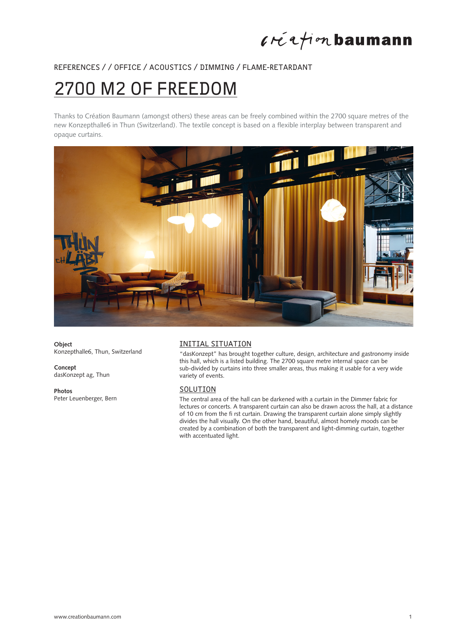## $l$ réation baumann

## REFERENCES / / OFFICE / ACOUSTICS / DIMMING / FLAME-RETARDANT

# 2700 M2 OF FREEDOM

Thanks to Création Baumann (amongst others) these areas can be freely combined within the 2700 square metres of the new Konzepthalle6 in Thun (Switzerland). The textile concept is based on a flexible interplay between transparent and opaque curtains.



**Object** Konzepthalle6, Thun, Switzerland

**Concept** dasKonzept ag, Thun

**Photos** Peter Leuenberger, Bern

## INITIAL SITUATION

"dasKonzept" has brought together culture, design, architecture and gastronomy inside this hall, which is a listed building. The 2700 square metre internal space can be sub-divided by curtains into three smaller areas, thus making it usable for a very wide variety of events.

## SOLUTION

The central area of the hall can be darkened with a curtain in the Dimmer fabric for lectures or concerts. A transparent curtain can also be drawn across the hall, at a distance of 10 cm from the fi rst curtain. Drawing the transparent curtain alone simply slightly divides the hall visually. On the other hand, beautiful, almost homely moods can be created by a combination of both the transparent and light-dimming curtain, together with accentuated light.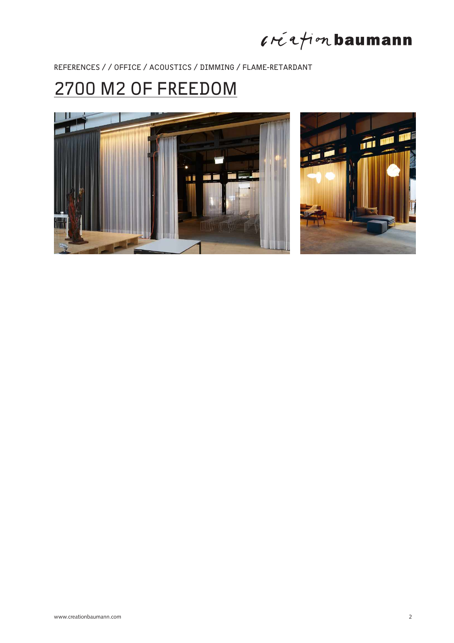$l$ réation baumann

REFERENCES / / OFFICE / ACOUSTICS / DIMMING / FLAME-RETARDANT

## 2700 M2 OF FREEDOM